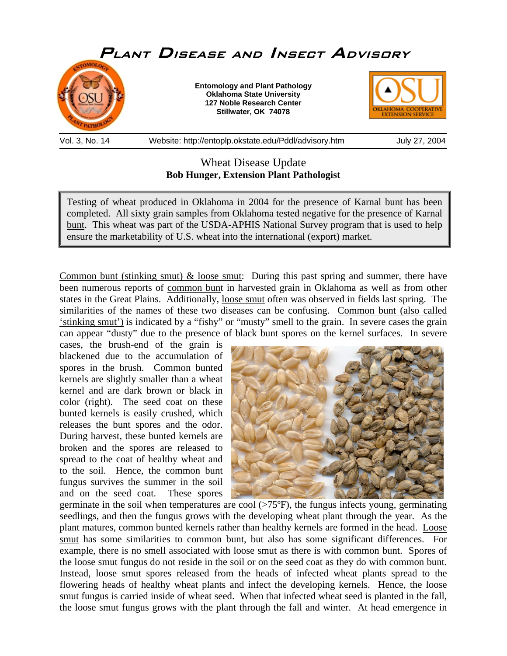

Vol. 3, No. 14 Website: http://entoplp.okstate.edu/Pddl/advisory.htm July 27, 2004

# Wheat Disease Update **Bob Hunger, Extension Plant Pathologist**

Testing of wheat produced in Oklahoma in 2004 for the presence of Karnal bunt has been completed. All sixty grain samples from Oklahoma tested negative for the presence of Karnal bunt. This wheat was part of the USDA-APHIS National Survey program that is used to help ensure the marketability of U.S. wheat into the international (export) market.

Common bunt (stinking smut)  $\&$  loose smut: During this past spring and summer, there have been numerous reports of common bunt in harvested grain in Oklahoma as well as from other states in the Great Plains. Additionally, loose smut often was observed in fields last spring. The similarities of the names of these two diseases can be confusing. Common bunt (also called 'stinking smut') is indicated by a "fishy" or "musty" smell to the grain. In severe cases the grain can appear "dusty" due to the presence of black bunt spores on the kernel surfaces. In severe

cases, the brush-end of the grain is blackened due to the accumulation of spores in the brush. Common bunted kernels are slightly smaller than a wheat kernel and are dark brown or black in color (right). The seed coat on these bunted kernels is easily crushed, which releases the bunt spores and the odor. During harvest, these bunted kernels are broken and the spores are released to spread to the coat of healthy wheat and to the soil. Hence, the common bunt fungus survives the summer in the soil and on the seed coat. These spores



germinate in the soil when temperatures are cool  $(>75^{\circ}F)$ , the fungus infects young, germinating seedlings, and then the fungus grows with the developing wheat plant through the year. As the plant matures, common bunted kernels rather than healthy kernels are formed in the head. Loose smut has some similarities to common bunt, but also has some significant differences. For example, there is no smell associated with loose smut as there is with common bunt. Spores of the loose smut fungus do not reside in the soil or on the seed coat as they do with common bunt. Instead, loose smut spores released from the heads of infected wheat plants spread to the flowering heads of healthy wheat plants and infect the developing kernels. Hence, the loose smut fungus is carried inside of wheat seed. When that infected wheat seed is planted in the fall, the loose smut fungus grows with the plant through the fall and winter. At head emergence in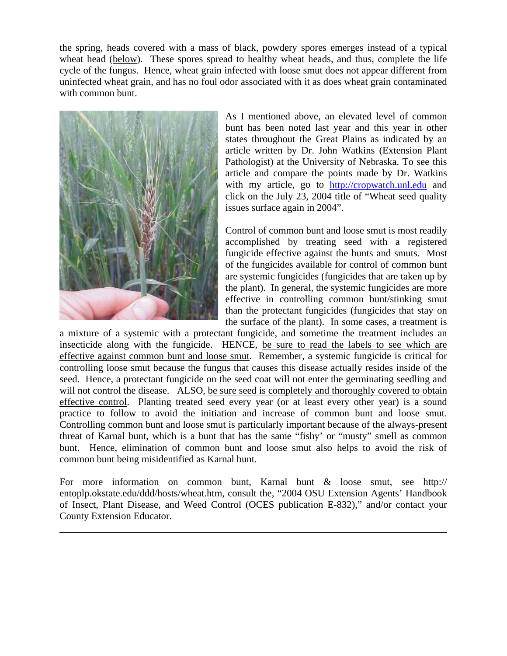the spring, heads covered with a mass of black, powdery spores emerges instead of a typical wheat head (below). These spores spread to healthy wheat heads, and thus, complete the life cycle of the fungus. Hence, wheat grain infected with loose smut does not appear different from uninfected wheat grain, and has no foul odor associated with it as does wheat grain contaminated with common bunt.



l

As I mentioned above, an elevated level of common bunt has been noted last year and this year in other states throughout the Great Plains as indicated by an article written by Dr. John Watkins (Extension Plant Pathologist) at the University of Nebraska. To see this article and compare the points made by Dr. Watkins with my article, go to [http://cropwatch.unl.edu](http://cropwatch.unl.edu/) and click on the July 23, 2004 title of "Wheat seed quality issues surface again in 2004".

Control of common bunt and loose smut is most readily accomplished by treating seed with a registered fungicide effective against the bunts and smuts. Most of the fungicides available for control of common bunt are systemic fungicides (fungicides that are taken up by the plant). In general, the systemic fungicides are more effective in controlling common bunt/stinking smut than the protectant fungicides (fungicides that stay on the surface of the plant). In some cases, a treatment is

a mixture of a systemic with a protectant fungicide, and sometime the treatment includes an insecticide along with the fungicide. HENCE, be sure to read the labels to see which are effective against common bunt and loose smut. Remember, a systemic fungicide is critical for controlling loose smut because the fungus that causes this disease actually resides inside of the seed. Hence, a protectant fungicide on the seed coat will not enter the germinating seedling and will not control the disease. ALSO, be sure seed is completely and thoroughly covered to obtain effective control. Planting treated seed every year (or at least every other year) is a sound practice to follow to avoid the initiation and increase of common bunt and loose smut. Controlling common bunt and loose smut is particularly important because of the always-present threat of Karnal bunt, which is a bunt that has the same "fishy' or "musty" smell as common bunt. Hence, elimination of common bunt and loose smut also helps to avoid the risk of common bunt being misidentified as Karnal bunt.

For more information on common bunt, Karnal bunt & loose smut, see http:// entoplp.okstate.edu/ddd/hosts/wheat.htm, consult the, "2004 OSU Extension Agents' Handbook of Insect, Plant Disease, and Weed Control (OCES publication E-832)," and/or contact your County Extension Educator.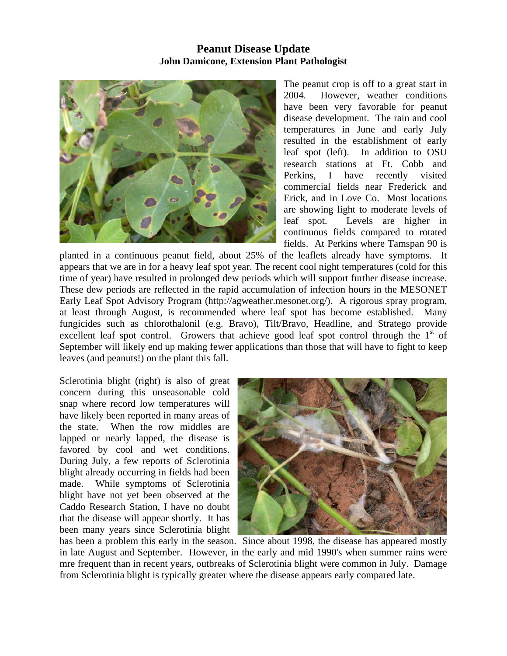### **Peanut Disease Update John Damicone, Extension Plant Pathologist**



The peanut crop is off to a great start in 2004. However, weather conditions have been very favorable for peanut disease development. The rain and cool temperatures in June and early July resulted in the establishment of early leaf spot (left). In addition to OSU research stations at Ft. Cobb and Perkins, I have recently visited commercial fields near Frederick and Erick, and in Love Co. Most locations are showing light to moderate levels of leaf spot. Levels are higher in continuous fields compared to rotated fields. At Perkins where Tamspan 90 is

planted in a continuous peanut field, about 25% of the leaflets already have symptoms. It appears that we are in for a heavy leaf spot year. The recent cool night temperatures (cold for this time of year) have resulted in prolonged dew periods which will support further disease increase. These dew periods are reflected in the rapid accumulation of infection hours in the MESONET Early Leaf Spot Advisory Program (http://agweather.mesonet.org/). A rigorous spray program, at least through August, is recommended where leaf spot has become established. Many fungicides such as chlorothalonil (e.g. Bravo), Tilt/Bravo, Headline, and Stratego provide excellent leaf spot control. Growers that achieve good leaf spot control through the  $1<sup>st</sup>$  of September will likely end up making fewer applications than those that will have to fight to keep leaves (and peanuts!) on the plant this fall.

Sclerotinia blight (right) is also of great concern during this unseasonable cold snap where record low temperatures will have likely been reported in many areas of the state. When the row middles are lapped or nearly lapped, the disease is favored by cool and wet conditions. During July, a few reports of Sclerotinia blight already occurring in fields had been made. While symptoms of Sclerotinia blight have not yet been observed at the Caddo Research Station, I have no doubt that the disease will appear shortly. It has been many years since Sclerotinia blight



has been a problem this early in the season. Since about 1998, the disease has appeared mostly in late August and September. However, in the early and mid 1990's when summer rains were mre frequent than in recent years, outbreaks of Sclerotinia blight were common in July. Damage from Sclerotinia blight is typically greater where the disease appears early compared late.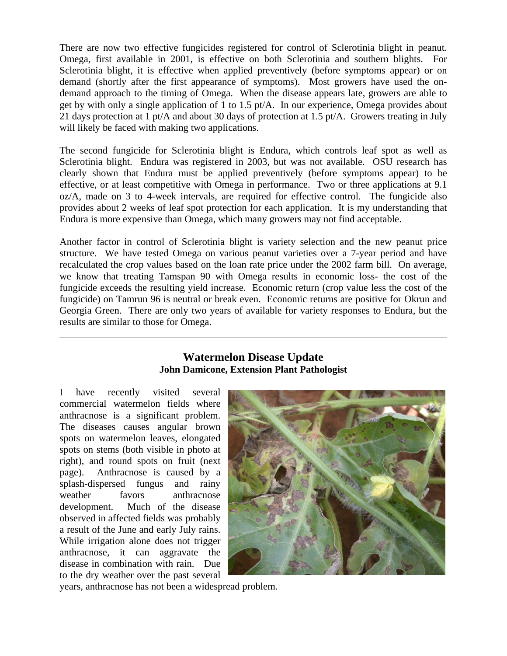There are now two effective fungicides registered for control of Sclerotinia blight in peanut. Omega, first available in 2001, is effective on both Sclerotinia and southern blights. For Sclerotinia blight, it is effective when applied preventively (before symptoms appear) or on demand (shortly after the first appearance of symptoms). Most growers have used the ondemand approach to the timing of Omega. When the disease appears late, growers are able to get by with only a single application of 1 to 1.5 pt/A. In our experience, Omega provides about 21 days protection at 1 pt/A and about 30 days of protection at 1.5 pt/A. Growers treating in July will likely be faced with making two applications.

The second fungicide for Sclerotinia blight is Endura, which controls leaf spot as well as Sclerotinia blight. Endura was registered in 2003, but was not available. OSU research has clearly shown that Endura must be applied preventively (before symptoms appear) to be effective, or at least competitive with Omega in performance. Two or three applications at 9.1 oz/A, made on 3 to 4-week intervals, are required for effective control. The fungicide also provides about 2 weeks of leaf spot protection for each application. It is my understanding that Endura is more expensive than Omega, which many growers may not find acceptable.

Another factor in control of Sclerotinia blight is variety selection and the new peanut price structure. We have tested Omega on various peanut varieties over a 7-year period and have recalculated the crop values based on the loan rate price under the 2002 farm bill. On average, we know that treating Tamspan 90 with Omega results in economic loss- the cost of the fungicide exceeds the resulting yield increase. Economic return (crop value less the cost of the fungicide) on Tamrun 96 is neutral or break even. Economic returns are positive for Okrun and Georgia Green. There are only two years of available for variety responses to Endura, but the results are similar to those for Omega.

## **Watermelon Disease Update John Damicone, Extension Plant Pathologist**

I have recently visited several commercial watermelon fields where anthracnose is a significant problem. The diseases causes angular brown spots on watermelon leaves, elongated spots on stems (both visible in photo at right), and round spots on fruit (next page). Anthracnose is caused by a splash-dispersed fungus and rainy weather favors anthracnose development. Much of the disease observed in affected fields was probably a result of the June and early July rains. While irrigation alone does not trigger anthracnose, it can aggravate the disease in combination with rain. Due to the dry weather over the past several

 $\overline{a}$ 



years, anthracnose has not been a widespread problem.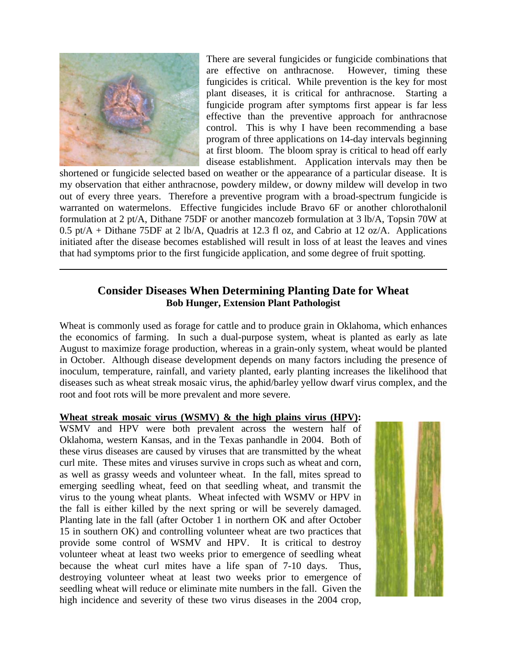

 $\overline{a}$ 

There are several fungicides or fungicide combinations that are effective on anthracnose. However, timing these fungicides is critical. While prevention is the key for most plant diseases, it is critical for anthracnose. Starting a fungicide program after symptoms first appear is far less effective than the preventive approach for anthracnose control. This is why I have been recommending a base program of three applications on 14-day intervals beginning at first bloom. The bloom spray is critical to head off early disease establishment. Application intervals may then be

shortened or fungicide selected based on weather or the appearance of a particular disease. It is my observation that either anthracnose, powdery mildew, or downy mildew will develop in two out of every three years. Therefore a preventive program with a broad-spectrum fungicide is warranted on watermelons. Effective fungicides include Bravo 6F or another chlorothalonil formulation at 2 pt/A, Dithane 75DF or another mancozeb formulation at 3 lb/A, Topsin 70W at 0.5 pt/A + Dithane 75DF at 2 lb/A, Quadris at 12.3 fl oz, and Cabrio at 12 oz/A. Applications initiated after the disease becomes established will result in loss of at least the leaves and vines that had symptoms prior to the first fungicide application, and some degree of fruit spotting.

## **Consider Diseases When Determining Planting Date for Wheat Bob Hunger, Extension Plant Pathologist**

Wheat is commonly used as forage for cattle and to produce grain in Oklahoma, which enhances the economics of farming. In such a dual-purpose system, wheat is planted as early as late August to maximize forage production, whereas in a grain-only system, wheat would be planted in October. Although disease development depends on many factors including the presence of inoculum, temperature, rainfall, and variety planted, early planting increases the likelihood that diseases such as wheat streak mosaic virus, the aphid/barley yellow dwarf virus complex, and the root and foot rots will be more prevalent and more severe.

#### **Wheat streak mosaic virus (WSMV) & the high plains virus (HPV):**

WSMV and HPV were both prevalent across the western half of Oklahoma, western Kansas, and in the Texas panhandle in 2004. Both of these virus diseases are caused by viruses that are transmitted by the wheat curl mite. These mites and viruses survive in crops such as wheat and corn, as well as grassy weeds and volunteer wheat. In the fall, mites spread to emerging seedling wheat, feed on that seedling wheat, and transmit the virus to the young wheat plants. Wheat infected with WSMV or HPV in the fall is either killed by the next spring or will be severely damaged. Planting late in the fall (after October 1 in northern OK and after October 15 in southern OK) and controlling volunteer wheat are two practices that provide some control of WSMV and HPV. It is critical to destroy volunteer wheat at least two weeks prior to emergence of seedling wheat because the wheat curl mites have a life span of 7-10 days. Thus, destroying volunteer wheat at least two weeks prior to emergence of seedling wheat will reduce or eliminate mite numbers in the fall. Given the high incidence and severity of these two virus diseases in the 2004 crop,

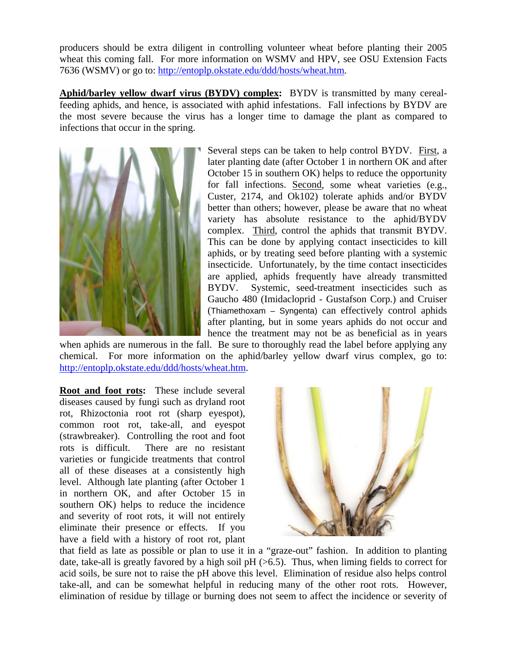producers should be extra diligent in controlling volunteer wheat before planting their 2005 wheat this coming fall. For more information on WSMV and HPV, see OSU Extension Facts 7636 (WSMV) or go to: [http://entoplp.okstate.edu/ddd/hosts/wheat.htm.](http://entoplp.okstate.edu/ddd/hosts/wheat.htm)

**Aphid/barley yellow dwarf virus (BYDV) complex:** BYDV is transmitted by many cerealfeeding aphids, and hence, is associated with aphid infestations. Fall infections by BYDV are the most severe because the virus has a longer time to damage the plant as compared to infections that occur in the spring.



Several steps can be taken to help control BYDV. First, a later planting date (after October 1 in northern OK and after October 15 in southern OK) helps to reduce the opportunity for fall infections. Second, some wheat varieties (e.g., Custer, 2174, and Ok102) tolerate aphids and/or BYDV better than others; however, please be aware that no wheat variety has absolute resistance to the aphid/BYDV complex. Third, control the aphids that transmit BYDV. This can be done by applying contact insecticides to kill aphids, or by treating seed before planting with a systemic insecticide. Unfortunately, by the time contact insecticides are applied, aphids frequently have already transmitted BYDV. Systemic, seed-treatment insecticides such as Gaucho 480 (Imidacloprid - Gustafson Corp.) and Cruiser (Thiamethoxam – Syngenta) can effectively control aphids after planting, but in some years aphids do not occur and hence the treatment may not be as beneficial as in years

when aphids are numerous in the fall. Be sure to thoroughly read the label before applying any chemical. For more information on the aphid/barley yellow dwarf virus complex, go to: [http://entoplp.okstate.edu/ddd/hosts/wheat.htm.](http://entoplp.okstate.edu/ddd/hosts/wheat.htm)

**Root and foot rots:** These include several diseases caused by fungi such as dryland root rot, Rhizoctonia root rot (sharp eyespot), common root rot, take-all, and eyespot (strawbreaker). Controlling the root and foot rots is difficult. There are no resistant varieties or fungicide treatments that control all of these diseases at a consistently high level. Although late planting (after October 1 in northern OK, and after October 15 in southern OK) helps to reduce the incidence and severity of root rots, it will not entirely eliminate their presence or effects. If you have a field with a history of root rot, plant



that field as late as possible or plan to use it in a "graze-out" fashion. In addition to planting date, take-all is greatly favored by a high soil  $pH$  ( $>6.5$ ). Thus, when liming fields to correct for acid soils, be sure not to raise the pH above this level. Elimination of residue also helps control take-all, and can be somewhat helpful in reducing many of the other root rots. However, elimination of residue by tillage or burning does not seem to affect the incidence or severity of